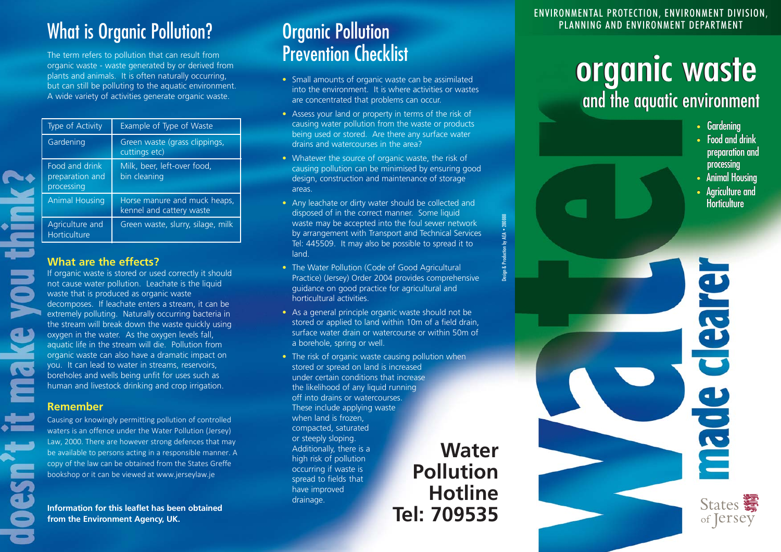### What is Organic Pollution? **Organic Pollution Collution Collution Collution Collution Collution Collution Collution Collution Collution Collution Collution Collution Collution Collution Collut**

The term refers to pollution that can result from organic waste - waste generated by or derived from plants and animals. It is often naturally occurring, but can still be polluting to the aquatic environment. A wide variety of activities generate organic waste.

| Type of Activity                                | Example of Type of Waste                                 |
|-------------------------------------------------|----------------------------------------------------------|
| Gardening                                       | Green waste (grass clippings,<br>cuttings etc)           |
| Food and drink<br>preparation and<br>processing | Milk, beer, left-over food,<br>bin cleaning              |
| <b>Animal Housing</b>                           | Horse manure and muck heaps,<br>kennel and cattery waste |
| Agriculture and<br><b>Horticulture</b>          | Green waste, slurry, silage, milk                        |

### **What are the effects?**

If organic waste is stored or used correctly it should not cause water pollution. Leachate is the liquid waste that is produced as organic waste decomposes. If leachate enters a stream, it can be extremely polluting. Naturally occurring bacteria in the stream will break down the waste quickly using oxygen in the water. As the oxygen levels fall, aquatic life in the stream will die. Pollution from organic waste can also have a dramatic impact on you. It can lead to water in streams, reservoirs, boreholes and wells being unfit for uses such as human and livestock drinking and crop irrigation.

### **Remember**

Causing or knowingly permitting pollution of controlled waters is an offence under the Water Pollution (Jersey) Law, 2000. There are however strong defences that may be available to persons acting in a responsible manner. A copy of the law can be obtained from the States Greffe bookshop or it can be viewed at www.jerseylaw.je

**Information for this leaflet has been obtained from the Environment Agency, UK.** 

# **Prevention Checklist**

- Small amounts of organic waste can be assimilated into the environment. It is where activities or wastes are concentrated that problems can occur.
- Assess your land or property in terms of the risk of causing water pollution from the waste or products being used or stored. Are there any surface water drains and watercourses in the area?
- Whatever the source of organic waste, the risk of causing pollution can be minimised by ensuring good design, construction and maintenance of storage areas.
- Any leachate or dirty water should be collected and disposed of in the correct manner. Some liquid waste may be accepted into the foul sewer network by arrangement with Transport and Technical Services Tel: 445509. It may also be possible to spread it to land.
- The Water Pollution (Code of Good Agricultural Practice) (Jersey) Order 2004 provides comprehensive guidance on good practice for agricultural and horticultural activities.
- As a general principle organic waste should not be stored or applied to land within 10m of a field drain, surface water drain or watercourse or within 50m of a borehole, spring or well.
- The risk of organic waste causing pollution when stored or spread on land is increased under certain conditions that increase the likelihood of any liquid running off into drains or watercourses. These include applying waste when land is frozen, compacted, saturated or steeply sloping. Additionally, there is a **Water** high risk of pollution occurring if waste is spread to fields that **Pollution** have improved drainage. **Hotline**

**Tel: 709535** 

Design & Production by AEA • 280888

ENVIRONMENTAL PROTECTION, ENVIRONMENT DIVISION,

## organic waste and the aquatic environment